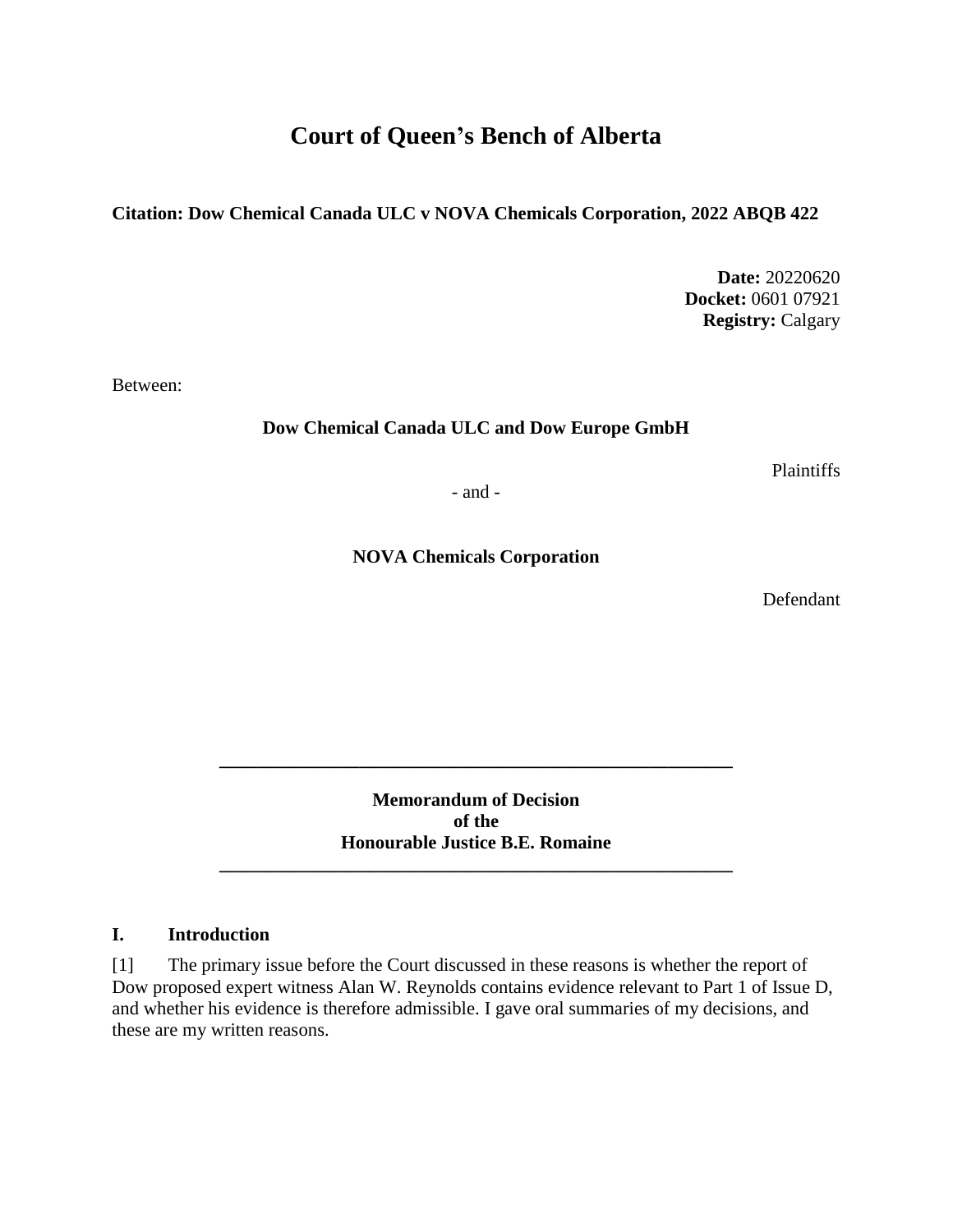# **Court of Queen's Bench of Alberta**

**Citation: Dow Chemical Canada ULC v NOVA Chemicals Corporation, 2022 ABQB 422**

**Date:** 20220620 **Docket:** 0601 07921 **Registry:** Calgary

Between:

**Dow Chemical Canada ULC and Dow Europe GmbH**

Plaintiffs

- and -

**NOVA Chemicals Corporation**

Defendant

**Memorandum of Decision of the Honourable Justice B.E. Romaine**

**\_\_\_\_\_\_\_\_\_\_\_\_\_\_\_\_\_\_\_\_\_\_\_\_\_\_\_\_\_\_\_\_\_\_\_\_\_\_\_\_\_\_\_\_\_\_\_\_\_\_\_\_\_\_\_**

**\_\_\_\_\_\_\_\_\_\_\_\_\_\_\_\_\_\_\_\_\_\_\_\_\_\_\_\_\_\_\_\_\_\_\_\_\_\_\_\_\_\_\_\_\_\_\_\_\_\_\_\_\_\_\_**

### **I. Introduction**

[1] The primary issue before the Court discussed in these reasons is whether the report of Dow proposed expert witness Alan W. Reynolds contains evidence relevant to Part 1 of Issue D, and whether his evidence is therefore admissible. I gave oral summaries of my decisions, and these are my written reasons.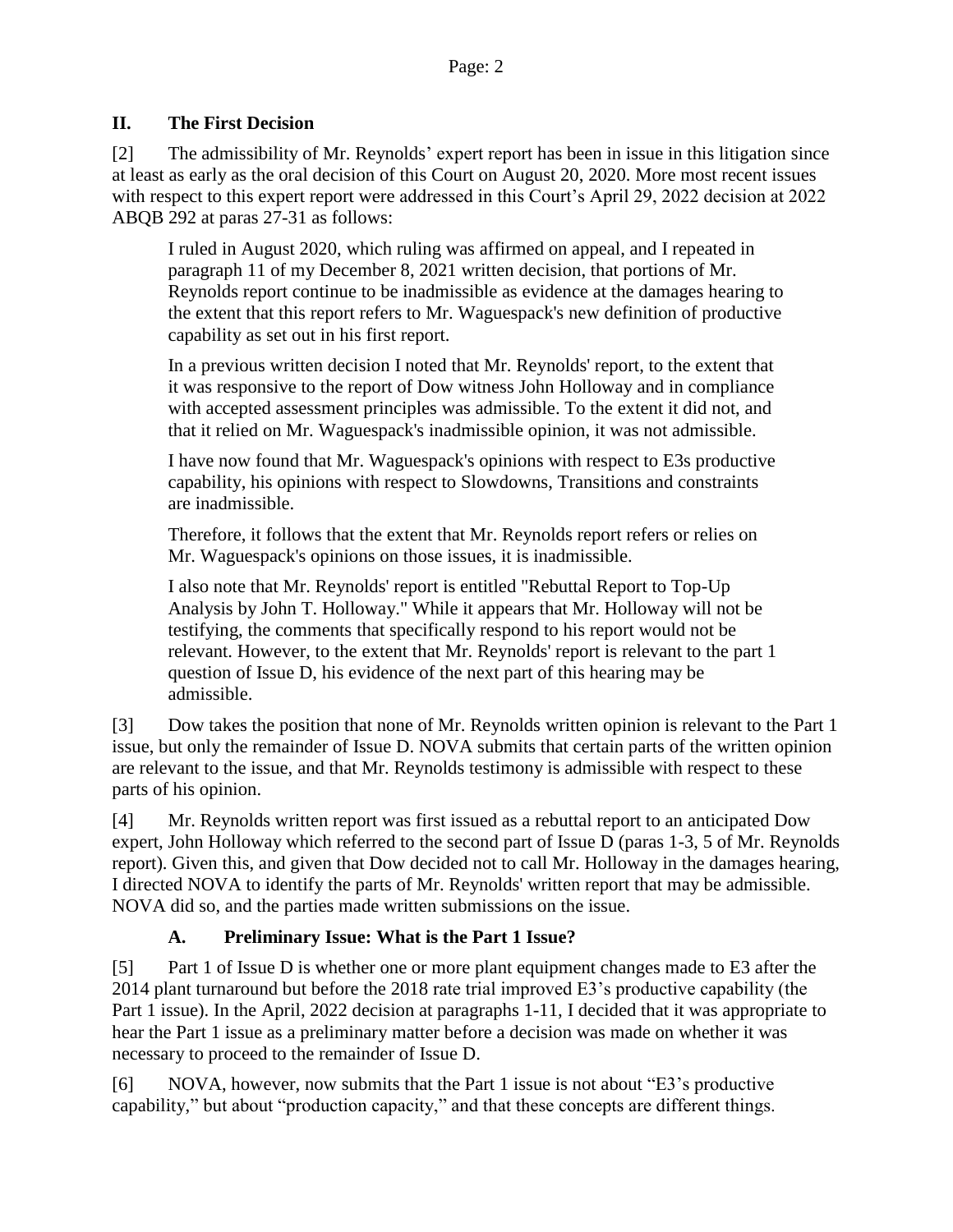### **II. The First Decision**

[2] The admissibility of Mr. Reynolds' expert report has been in issue in this litigation since at least as early as the oral decision of this Court on August 20, 2020. More most recent issues with respect to this expert report were addressed in this Court's April 29, 2022 decision at 2022 ABQB 292 at paras 27-31 as follows:

I ruled in August 2020, which ruling was affirmed on appeal, and I repeated in paragraph 11 of my December 8, 2021 written decision, that portions of Mr. Reynolds report continue to be inadmissible as evidence at the damages hearing to the extent that this report refers to Mr. Waguespack's new definition of productive capability as set out in his first report.

In a previous written decision I noted that Mr. Reynolds' report, to the extent that it was responsive to the report of Dow witness John Holloway and in compliance with accepted assessment principles was admissible. To the extent it did not, and that it relied on Mr. Waguespack's inadmissible opinion, it was not admissible.

I have now found that Mr. Waguespack's opinions with respect to E3s productive capability, his opinions with respect to Slowdowns, Transitions and constraints are inadmissible.

Therefore, it follows that the extent that Mr. Reynolds report refers or relies on Mr. Waguespack's opinions on those issues, it is inadmissible.

I also note that Mr. Reynolds' report is entitled "Rebuttal Report to Top-Up Analysis by John T. Holloway." While it appears that Mr. Holloway will not be testifying, the comments that specifically respond to his report would not be relevant. However, to the extent that Mr. Reynolds' report is relevant to the part 1 question of Issue D, his evidence of the next part of this hearing may be admissible.

[3] Dow takes the position that none of Mr. Reynolds written opinion is relevant to the Part 1 issue, but only the remainder of Issue D. NOVA submits that certain parts of the written opinion are relevant to the issue, and that Mr. Reynolds testimony is admissible with respect to these parts of his opinion.

[4] Mr. Reynolds written report was first issued as a rebuttal report to an anticipated Dow expert, John Holloway which referred to the second part of Issue D (paras 1-3, 5 of Mr. Reynolds report). Given this, and given that Dow decided not to call Mr. Holloway in the damages hearing, I directed NOVA to identify the parts of Mr. Reynolds' written report that may be admissible. NOVA did so, and the parties made written submissions on the issue.

## **A. Preliminary Issue: What is the Part 1 Issue?**

[5] Part 1 of Issue D is whether one or more plant equipment changes made to E3 after the 2014 plant turnaround but before the 2018 rate trial improved E3's productive capability (the Part 1 issue). In the April, 2022 decision at paragraphs 1-11, I decided that it was appropriate to hear the Part 1 issue as a preliminary matter before a decision was made on whether it was necessary to proceed to the remainder of Issue D.

[6] NOVA, however, now submits that the Part 1 issue is not about "E3's productive capability," but about "production capacity," and that these concepts are different things.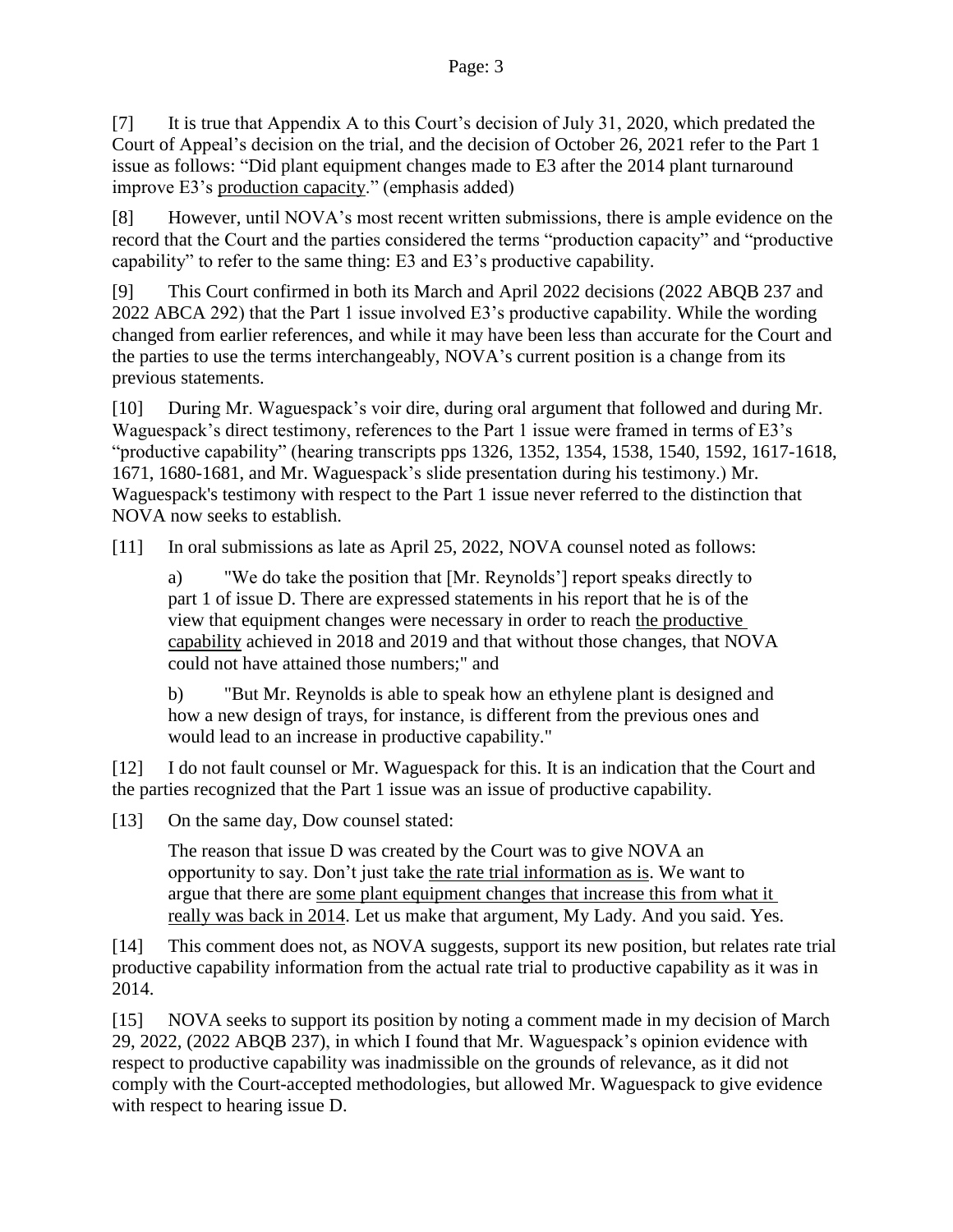[7] It is true that Appendix A to this Court's decision of July 31, 2020, which predated the Court of Appeal's decision on the trial, and the decision of October 26, 2021 refer to the Part 1 issue as follows: "Did plant equipment changes made to E3 after the 2014 plant turnaround improve E3's production capacity." (emphasis added)

[8] However, until NOVA's most recent written submissions, there is ample evidence on the record that the Court and the parties considered the terms "production capacity" and "productive capability" to refer to the same thing: E3 and E3's productive capability.

[9] This Court confirmed in both its March and April 2022 decisions (2022 ABQB 237 and 2022 ABCA 292) that the Part 1 issue involved E3's productive capability. While the wording changed from earlier references, and while it may have been less than accurate for the Court and the parties to use the terms interchangeably, NOVA's current position is a change from its previous statements.

[10] During Mr. Waguespack's voir dire, during oral argument that followed and during Mr. Waguespack's direct testimony, references to the Part 1 issue were framed in terms of E3's "productive capability" (hearing transcripts pps 1326, 1352, 1354, 1538, 1540, 1592, 1617-1618, 1671, 1680-1681, and Mr. Waguespack's slide presentation during his testimony.) Mr. Waguespack's testimony with respect to the Part 1 issue never referred to the distinction that NOVA now seeks to establish.

[11] In oral submissions as late as April 25, 2022, NOVA counsel noted as follows:

a) "We do take the position that [Mr. Reynolds'] report speaks directly to part 1 of issue D. There are expressed statements in his report that he is of the view that equipment changes were necessary in order to reach the productive capability achieved in 2018 and 2019 and that without those changes, that NOVA could not have attained those numbers;" and

b) "But Mr. Reynolds is able to speak how an ethylene plant is designed and how a new design of trays, for instance, is different from the previous ones and would lead to an increase in productive capability."

[12] I do not fault counsel or Mr. Waguespack for this. It is an indication that the Court and the parties recognized that the Part 1 issue was an issue of productive capability.

[13] On the same day, Dow counsel stated:

The reason that issue D was created by the Court was to give NOVA an opportunity to say. Don't just take the rate trial information as is. We want to argue that there are some plant equipment changes that increase this from what it really was back in 2014. Let us make that argument, My Lady. And you said. Yes.

[14] This comment does not, as NOVA suggests, support its new position, but relates rate trial productive capability information from the actual rate trial to productive capability as it was in 2014.

[15] NOVA seeks to support its position by noting a comment made in my decision of March 29, 2022, (2022 ABQB 237), in which I found that Mr. Waguespack's opinion evidence with respect to productive capability was inadmissible on the grounds of relevance, as it did not comply with the Court-accepted methodologies, but allowed Mr. Waguespack to give evidence with respect to hearing issue D.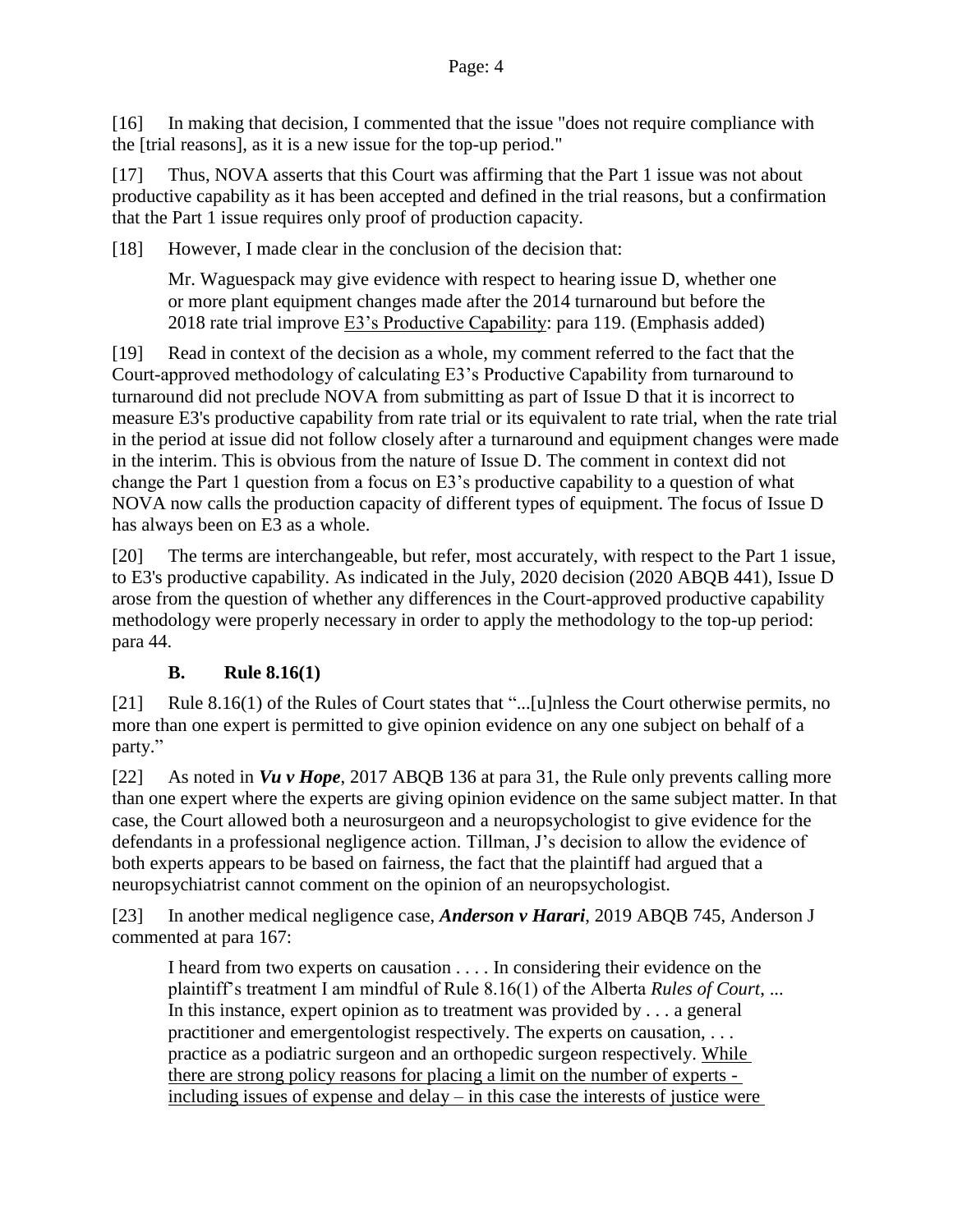[16] In making that decision, I commented that the issue "does not require compliance with the [trial reasons], as it is a new issue for the top-up period."

[17] Thus, NOVA asserts that this Court was affirming that the Part 1 issue was not about productive capability as it has been accepted and defined in the trial reasons, but a confirmation that the Part 1 issue requires only proof of production capacity.

[18] However, I made clear in the conclusion of the decision that:

Mr. Waguespack may give evidence with respect to hearing issue D, whether one or more plant equipment changes made after the 2014 turnaround but before the 2018 rate trial improve E3's Productive Capability: para 119. (Emphasis added)

[19] Read in context of the decision as a whole, my comment referred to the fact that the Court-approved methodology of calculating E3's Productive Capability from turnaround to turnaround did not preclude NOVA from submitting as part of Issue D that it is incorrect to measure E3's productive capability from rate trial or its equivalent to rate trial, when the rate trial in the period at issue did not follow closely after a turnaround and equipment changes were made in the interim. This is obvious from the nature of Issue D. The comment in context did not change the Part 1 question from a focus on E3's productive capability to a question of what NOVA now calls the production capacity of different types of equipment. The focus of Issue D has always been on E3 as a whole.

[20] The terms are interchangeable, but refer, most accurately, with respect to the Part 1 issue, to E3's productive capability. As indicated in the July, 2020 decision (2020 ABQB 441), Issue D arose from the question of whether any differences in the Court-approved productive capability methodology were properly necessary in order to apply the methodology to the top-up period: para 44.

# **B. Rule 8.16(1)**

[21] Rule 8.16(1) of the Rules of Court states that "...[u]nless the Court otherwise permits, no more than one expert is permitted to give opinion evidence on any one subject on behalf of a party."

[22] As noted in *Vu v Hope*, 2017 ABQB 136 at para 31, the Rule only prevents calling more than one expert where the experts are giving opinion evidence on the same subject matter. In that case, the Court allowed both a neurosurgeon and a neuropsychologist to give evidence for the defendants in a professional negligence action. Tillman, J's decision to allow the evidence of both experts appears to be based on fairness, the fact that the plaintiff had argued that a neuropsychiatrist cannot comment on the opinion of an neuropsychologist.

[23] In another medical negligence case, *Anderson v Harari*, 2019 ABQB 745, Anderson J commented at para 167:

I heard from two experts on causation . . . . In considering their evidence on the plaintiff's treatment I am mindful of Rule 8.16(1) of the Alberta *Rules of Court*, ... In this instance, expert opinion as to treatment was provided by . . . a general practitioner and emergentologist respectively. The experts on causation, . . . practice as a podiatric surgeon and an orthopedic surgeon respectively. While there are strong policy reasons for placing a limit on the number of experts including issues of expense and delay – in this case the interests of justice were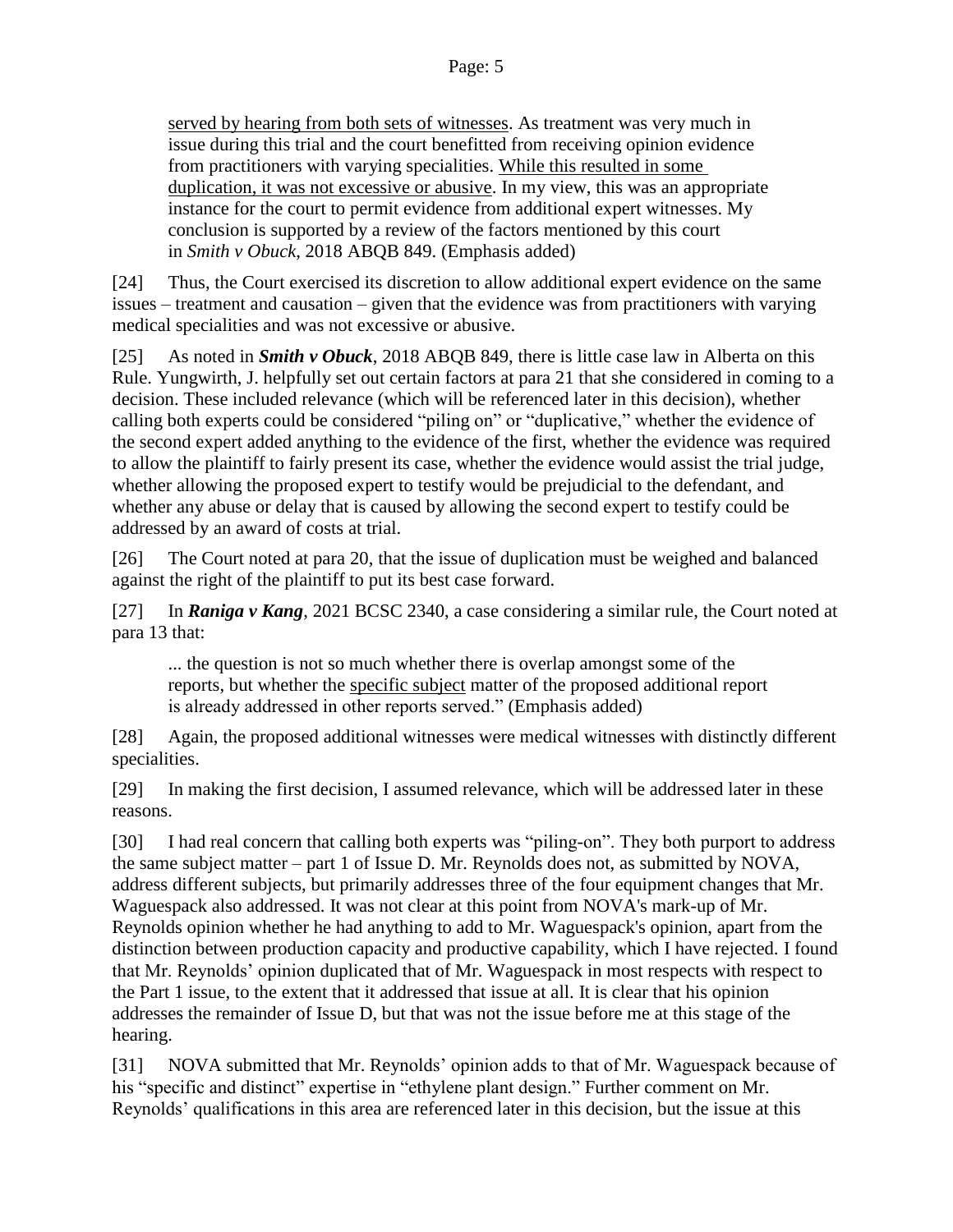served by hearing from both sets of witnesses. As treatment was very much in issue during this trial and the court benefitted from receiving opinion evidence from practitioners with varying specialities. While this resulted in some duplication, it was not excessive or abusive. In my view, this was an appropriate instance for the court to permit evidence from additional expert witnesses. My conclusion is supported by a review of the factors mentioned by this court in *Smith v Obuck*, 2018 ABQB 849. (Emphasis added)

[24] Thus, the Court exercised its discretion to allow additional expert evidence on the same issues – treatment and causation – given that the evidence was from practitioners with varying medical specialities and was not excessive or abusive.

[25] As noted in *Smith v Obuck*, 2018 ABQB 849, there is little case law in Alberta on this Rule. Yungwirth, J. helpfully set out certain factors at para 21 that she considered in coming to a decision. These included relevance (which will be referenced later in this decision), whether calling both experts could be considered "piling on" or "duplicative," whether the evidence of the second expert added anything to the evidence of the first, whether the evidence was required to allow the plaintiff to fairly present its case, whether the evidence would assist the trial judge, whether allowing the proposed expert to testify would be prejudicial to the defendant, and whether any abuse or delay that is caused by allowing the second expert to testify could be addressed by an award of costs at trial.

[26] The Court noted at para 20, that the issue of duplication must be weighed and balanced against the right of the plaintiff to put its best case forward.

[27] In *Raniga v Kang*, 2021 BCSC 2340, a case considering a similar rule, the Court noted at para 13 that:

... the question is not so much whether there is overlap amongst some of the reports, but whether the specific subject matter of the proposed additional report is already addressed in other reports served." (Emphasis added)

[28] Again, the proposed additional witnesses were medical witnesses with distinctly different specialities.

[29] In making the first decision, I assumed relevance, which will be addressed later in these reasons.

[30] I had real concern that calling both experts was "piling-on". They both purport to address the same subject matter – part 1 of Issue D. Mr. Reynolds does not, as submitted by NOVA, address different subjects, but primarily addresses three of the four equipment changes that Mr. Waguespack also addressed. It was not clear at this point from NOVA's mark-up of Mr. Reynolds opinion whether he had anything to add to Mr. Waguespack's opinion, apart from the distinction between production capacity and productive capability, which I have rejected. I found that Mr. Reynolds' opinion duplicated that of Mr. Waguespack in most respects with respect to the Part 1 issue, to the extent that it addressed that issue at all. It is clear that his opinion addresses the remainder of Issue D, but that was not the issue before me at this stage of the hearing.

[31] NOVA submitted that Mr. Reynolds' opinion adds to that of Mr. Waguespack because of his "specific and distinct" expertise in "ethylene plant design." Further comment on Mr. Reynolds' qualifications in this area are referenced later in this decision, but the issue at this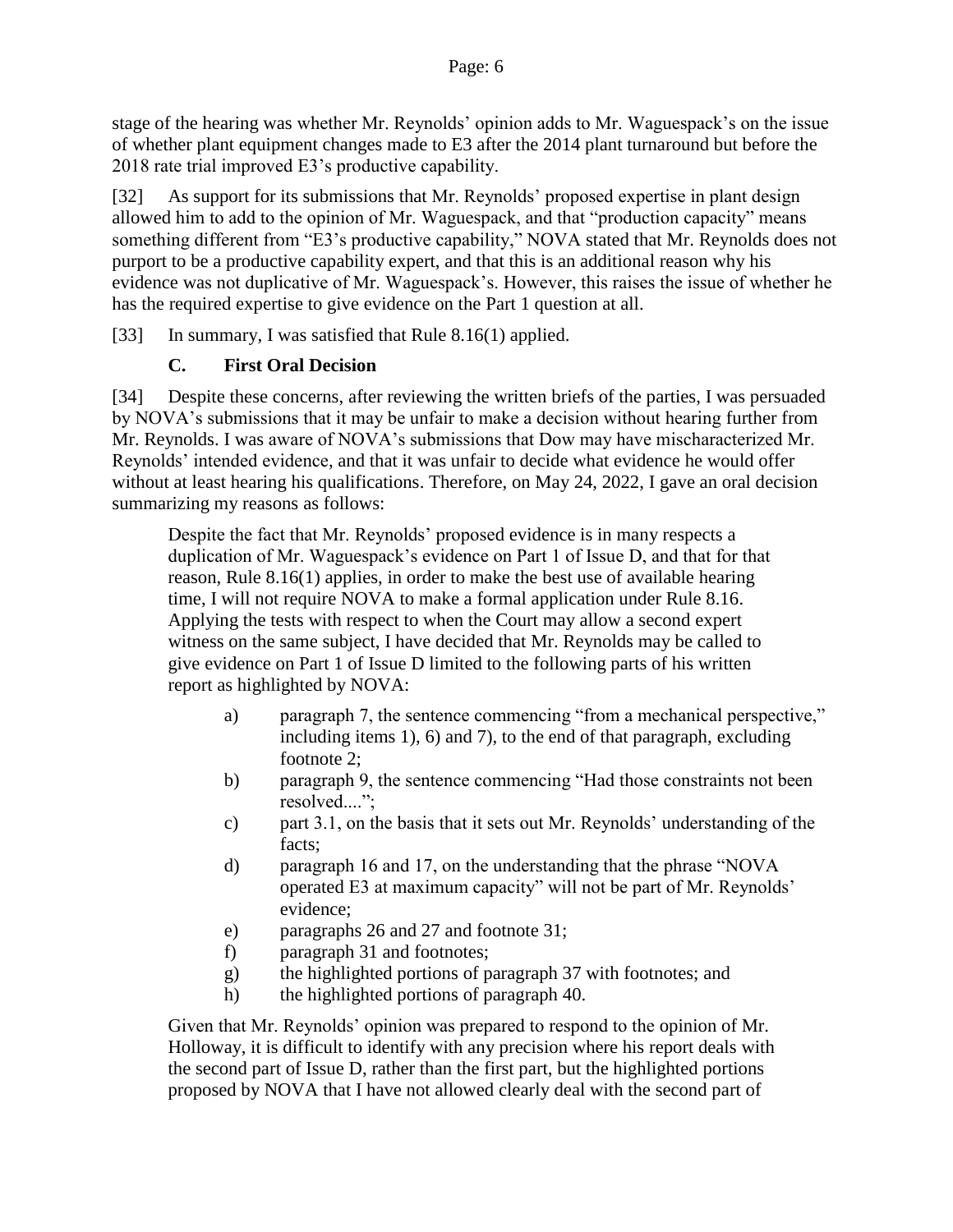stage of the hearing was whether Mr. Reynolds' opinion adds to Mr. Waguespack's on the issue of whether plant equipment changes made to E3 after the 2014 plant turnaround but before the 2018 rate trial improved E3's productive capability.

[32] As support for its submissions that Mr. Reynolds' proposed expertise in plant design allowed him to add to the opinion of Mr. Waguespack, and that "production capacity" means something different from "E3's productive capability," NOVA stated that Mr. Reynolds does not purport to be a productive capability expert, and that this is an additional reason why his evidence was not duplicative of Mr. Waguespack's. However, this raises the issue of whether he has the required expertise to give evidence on the Part 1 question at all.

[33] In summary, I was satisfied that Rule 8.16(1) applied.

### **C. First Oral Decision**

[34] Despite these concerns, after reviewing the written briefs of the parties, I was persuaded by NOVA's submissions that it may be unfair to make a decision without hearing further from Mr. Reynolds. I was aware of NOVA's submissions that Dow may have mischaracterized Mr. Reynolds' intended evidence, and that it was unfair to decide what evidence he would offer without at least hearing his qualifications. Therefore, on May 24, 2022, I gave an oral decision summarizing my reasons as follows:

Despite the fact that Mr. Reynolds' proposed evidence is in many respects a duplication of Mr. Waguespack's evidence on Part 1 of Issue D, and that for that reason, Rule 8.16(1) applies, in order to make the best use of available hearing time, I will not require NOVA to make a formal application under Rule 8.16. Applying the tests with respect to when the Court may allow a second expert witness on the same subject, I have decided that Mr. Reynolds may be called to give evidence on Part 1 of Issue D limited to the following parts of his written report as highlighted by NOVA:

- a) paragraph 7, the sentence commencing "from a mechanical perspective," including items 1), 6) and 7), to the end of that paragraph, excluding footnote 2;
- b) paragraph 9, the sentence commencing "Had those constraints not been resolved....";
- c) part 3.1, on the basis that it sets out Mr. Reynolds' understanding of the facts;
- d) paragraph 16 and 17, on the understanding that the phrase "NOVA operated E3 at maximum capacity" will not be part of Mr. Reynolds' evidence;
- e) paragraphs 26 and 27 and footnote 31;
- f) paragraph 31 and footnotes;
- g) the highlighted portions of paragraph 37 with footnotes; and
- h) the highlighted portions of paragraph 40.

Given that Mr. Reynolds' opinion was prepared to respond to the opinion of Mr. Holloway, it is difficult to identify with any precision where his report deals with the second part of Issue D, rather than the first part, but the highlighted portions proposed by NOVA that I have not allowed clearly deal with the second part of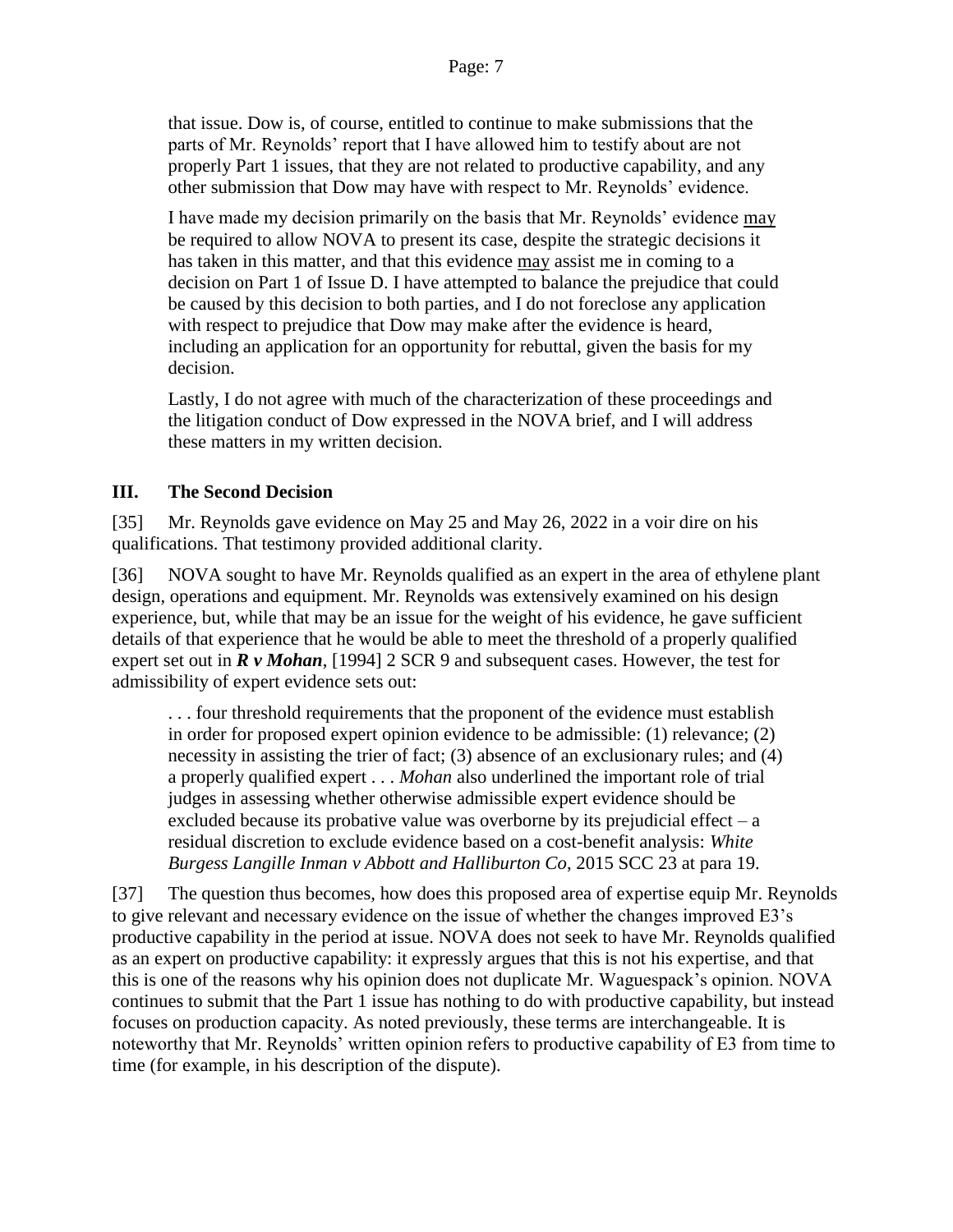that issue. Dow is, of course, entitled to continue to make submissions that the parts of Mr. Reynolds' report that I have allowed him to testify about are not properly Part 1 issues, that they are not related to productive capability, and any other submission that Dow may have with respect to Mr. Reynolds' evidence.

I have made my decision primarily on the basis that Mr. Reynolds' evidence may be required to allow NOVA to present its case, despite the strategic decisions it has taken in this matter, and that this evidence may assist me in coming to a decision on Part 1 of Issue D. I have attempted to balance the prejudice that could be caused by this decision to both parties, and I do not foreclose any application with respect to prejudice that Dow may make after the evidence is heard, including an application for an opportunity for rebuttal, given the basis for my decision.

Lastly, I do not agree with much of the characterization of these proceedings and the litigation conduct of Dow expressed in the NOVA brief, and I will address these matters in my written decision.

### **III. The Second Decision**

[35] Mr. Reynolds gave evidence on May 25 and May 26, 2022 in a voir dire on his qualifications. That testimony provided additional clarity.

[36] NOVA sought to have Mr. Reynolds qualified as an expert in the area of ethylene plant design, operations and equipment. Mr. Reynolds was extensively examined on his design experience, but, while that may be an issue for the weight of his evidence, he gave sufficient details of that experience that he would be able to meet the threshold of a properly qualified expert set out in *R v Mohan*, [1994] 2 SCR 9 and subsequent cases. However, the test for admissibility of expert evidence sets out:

. . . four threshold requirements that the proponent of the evidence must establish in order for proposed expert opinion evidence to be admissible: (1) relevance; (2) necessity in assisting the trier of fact; (3) absence of an exclusionary rules; and (4) a properly qualified expert . . . *Mohan* also underlined the important role of trial judges in assessing whether otherwise admissible expert evidence should be excluded because its probative value was overborne by its prejudicial effect –  $a$ residual discretion to exclude evidence based on a cost-benefit analysis: *White Burgess Langille Inman v Abbott and Halliburton Co*, 2015 SCC 23 at para 19.

[37] The question thus becomes, how does this proposed area of expertise equip Mr. Reynolds to give relevant and necessary evidence on the issue of whether the changes improved E3's productive capability in the period at issue. NOVA does not seek to have Mr. Reynolds qualified as an expert on productive capability: it expressly argues that this is not his expertise, and that this is one of the reasons why his opinion does not duplicate Mr. Waguespack's opinion. NOVA continues to submit that the Part 1 issue has nothing to do with productive capability, but instead focuses on production capacity. As noted previously, these terms are interchangeable. It is noteworthy that Mr. Reynolds' written opinion refers to productive capability of E3 from time to time (for example, in his description of the dispute).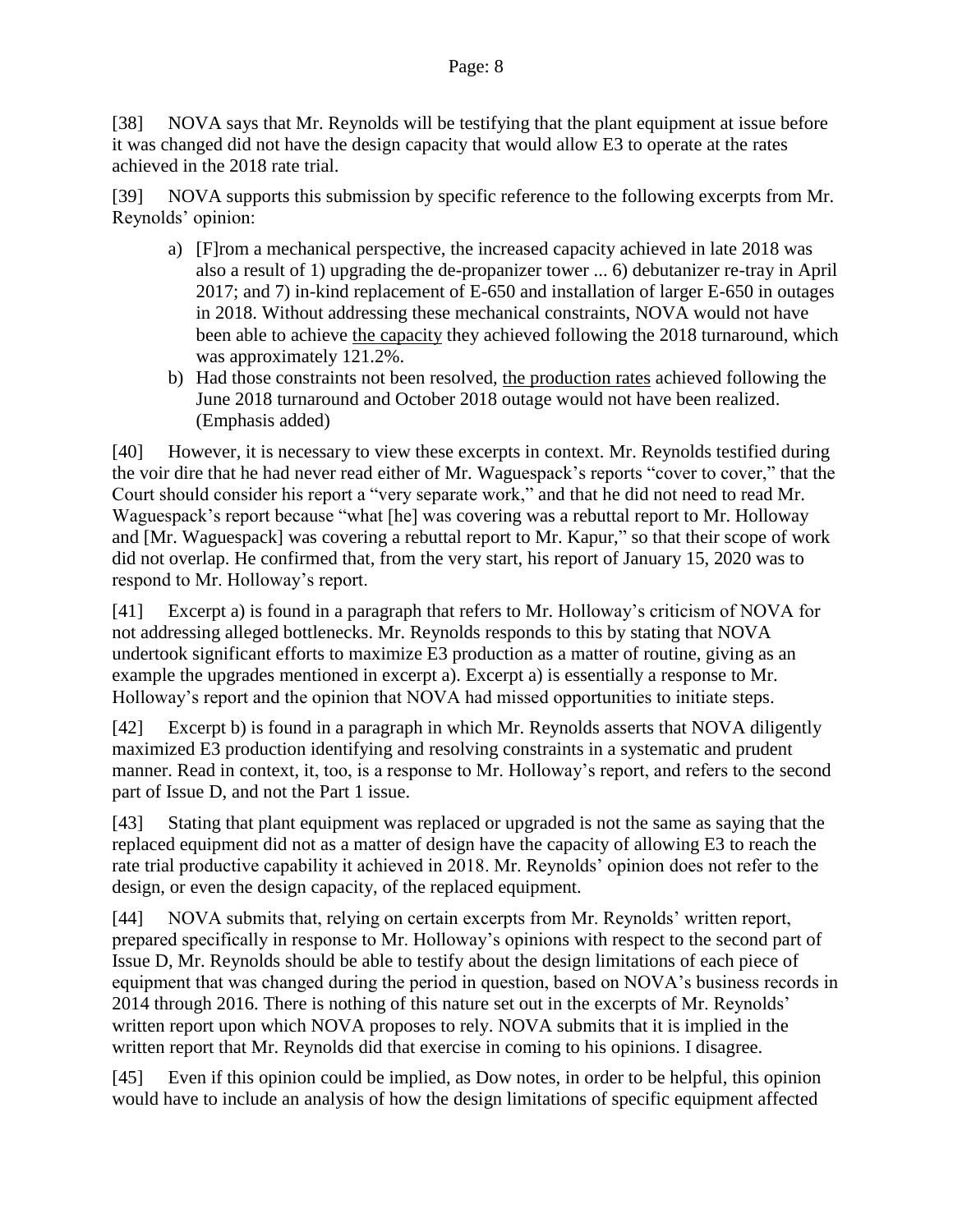Page: 8

[38] NOVA says that Mr. Reynolds will be testifying that the plant equipment at issue before it was changed did not have the design capacity that would allow E3 to operate at the rates achieved in the 2018 rate trial.

[39] NOVA supports this submission by specific reference to the following excerpts from Mr. Reynolds' opinion:

- a) [F]rom a mechanical perspective, the increased capacity achieved in late 2018 was also a result of 1) upgrading the de-propanizer tower ... 6) debutanizer re-tray in April 2017; and 7) in-kind replacement of E-650 and installation of larger E-650 in outages in 2018. Without addressing these mechanical constraints, NOVA would not have been able to achieve the capacity they achieved following the 2018 turnaround, which was approximately 121.2%.
- b) Had those constraints not been resolved, the production rates achieved following the June 2018 turnaround and October 2018 outage would not have been realized. (Emphasis added)

[40] However, it is necessary to view these excerpts in context. Mr. Reynolds testified during the voir dire that he had never read either of Mr. Waguespack's reports "cover to cover," that the Court should consider his report a "very separate work," and that he did not need to read Mr. Waguespack's report because "what [he] was covering was a rebuttal report to Mr. Holloway and [Mr. Waguespack] was covering a rebuttal report to Mr. Kapur," so that their scope of work did not overlap. He confirmed that, from the very start, his report of January 15, 2020 was to respond to Mr. Holloway's report.

[41] Excerpt a) is found in a paragraph that refers to Mr. Holloway's criticism of NOVA for not addressing alleged bottlenecks. Mr. Reynolds responds to this by stating that NOVA undertook significant efforts to maximize E3 production as a matter of routine, giving as an example the upgrades mentioned in excerpt a). Excerpt a) is essentially a response to Mr. Holloway's report and the opinion that NOVA had missed opportunities to initiate steps.

[42] Excerpt b) is found in a paragraph in which Mr. Reynolds asserts that NOVA diligently maximized E3 production identifying and resolving constraints in a systematic and prudent manner. Read in context, it, too, is a response to Mr. Holloway's report, and refers to the second part of Issue D, and not the Part 1 issue.

[43] Stating that plant equipment was replaced or upgraded is not the same as saying that the replaced equipment did not as a matter of design have the capacity of allowing E3 to reach the rate trial productive capability it achieved in 2018. Mr. Reynolds' opinion does not refer to the design, or even the design capacity, of the replaced equipment.

[44] NOVA submits that, relying on certain excerpts from Mr. Reynolds' written report, prepared specifically in response to Mr. Holloway's opinions with respect to the second part of Issue D, Mr. Reynolds should be able to testify about the design limitations of each piece of equipment that was changed during the period in question, based on NOVA's business records in 2014 through 2016. There is nothing of this nature set out in the excerpts of Mr. Reynolds' written report upon which NOVA proposes to rely. NOVA submits that it is implied in the written report that Mr. Reynolds did that exercise in coming to his opinions. I disagree.

[45] Even if this opinion could be implied, as Dow notes, in order to be helpful, this opinion would have to include an analysis of how the design limitations of specific equipment affected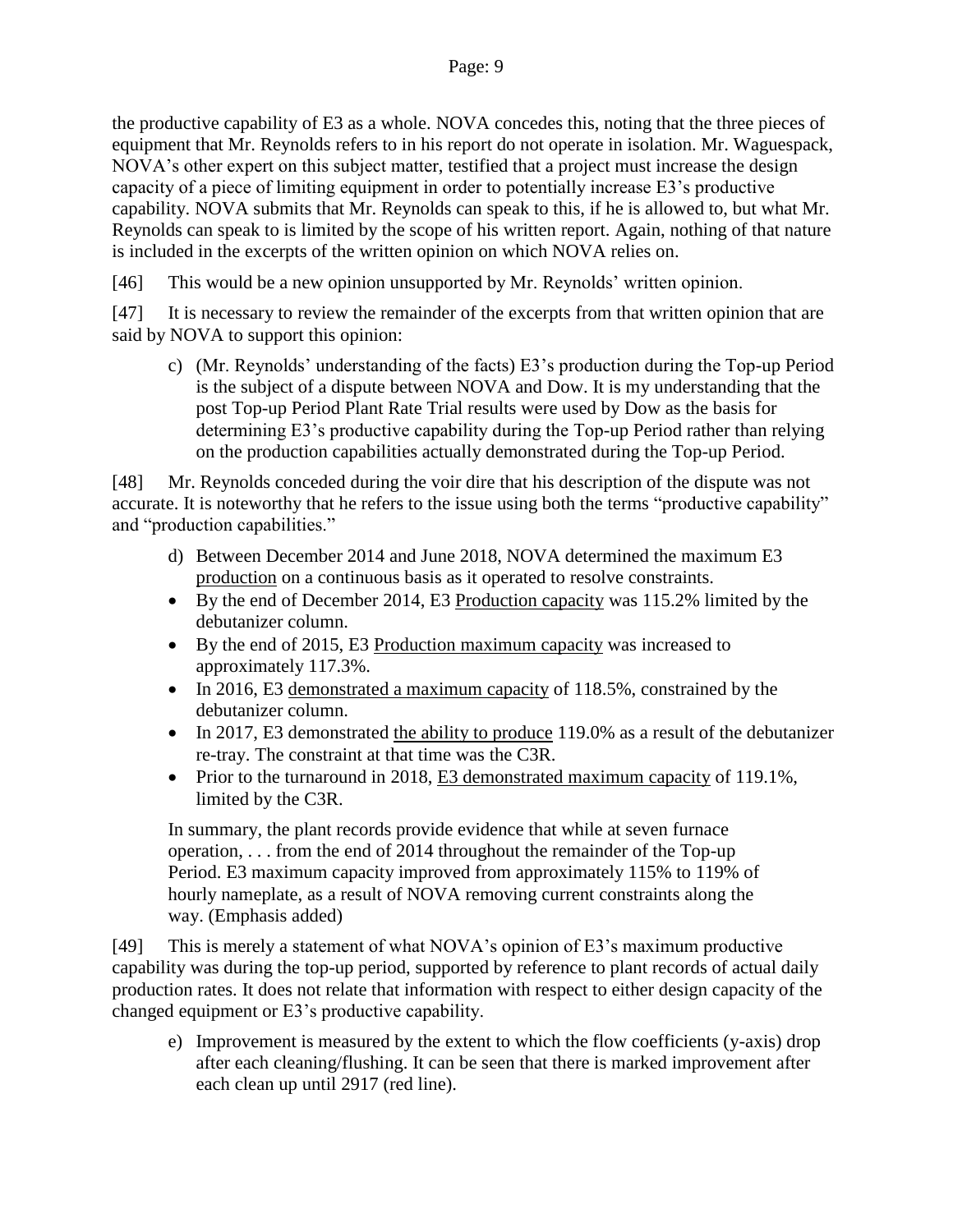the productive capability of E3 as a whole. NOVA concedes this, noting that the three pieces of equipment that Mr. Reynolds refers to in his report do not operate in isolation. Mr. Waguespack, NOVA's other expert on this subject matter, testified that a project must increase the design capacity of a piece of limiting equipment in order to potentially increase E3's productive capability. NOVA submits that Mr. Reynolds can speak to this, if he is allowed to, but what Mr. Reynolds can speak to is limited by the scope of his written report. Again, nothing of that nature is included in the excerpts of the written opinion on which NOVA relies on.

[46] This would be a new opinion unsupported by Mr. Reynolds' written opinion.

[47] It is necessary to review the remainder of the excerpts from that written opinion that are said by NOVA to support this opinion:

c) (Mr. Reynolds' understanding of the facts) E3's production during the Top-up Period is the subject of a dispute between NOVA and Dow. It is my understanding that the post Top-up Period Plant Rate Trial results were used by Dow as the basis for determining E3's productive capability during the Top-up Period rather than relying on the production capabilities actually demonstrated during the Top-up Period.

[48] Mr. Reynolds conceded during the voir dire that his description of the dispute was not accurate. It is noteworthy that he refers to the issue using both the terms "productive capability" and "production capabilities."

- d) Between December 2014 and June 2018, NOVA determined the maximum E3 production on a continuous basis as it operated to resolve constraints.
- By the end of December 2014, E3 Production capacity was 115.2% limited by the debutanizer column.
- By the end of 2015, E3 Production maximum capacity was increased to approximately 117.3%.
- In 2016, E3 demonstrated a maximum capacity of 118.5%, constrained by the debutanizer column.
- In 2017, E3 demonstrated the ability to produce 119.0% as a result of the debutanizer re-tray. The constraint at that time was the C3R.
- Prior to the turnaround in 2018, E3 demonstrated maximum capacity of 119.1%, limited by the C3R.

In summary, the plant records provide evidence that while at seven furnace operation, . . . from the end of 2014 throughout the remainder of the Top-up Period. E3 maximum capacity improved from approximately 115% to 119% of hourly nameplate, as a result of NOVA removing current constraints along the way. (Emphasis added)

[49] This is merely a statement of what NOVA's opinion of E3's maximum productive capability was during the top-up period, supported by reference to plant records of actual daily production rates. It does not relate that information with respect to either design capacity of the changed equipment or E3's productive capability.

e) Improvement is measured by the extent to which the flow coefficients (y-axis) drop after each cleaning/flushing. It can be seen that there is marked improvement after each clean up until 2917 (red line).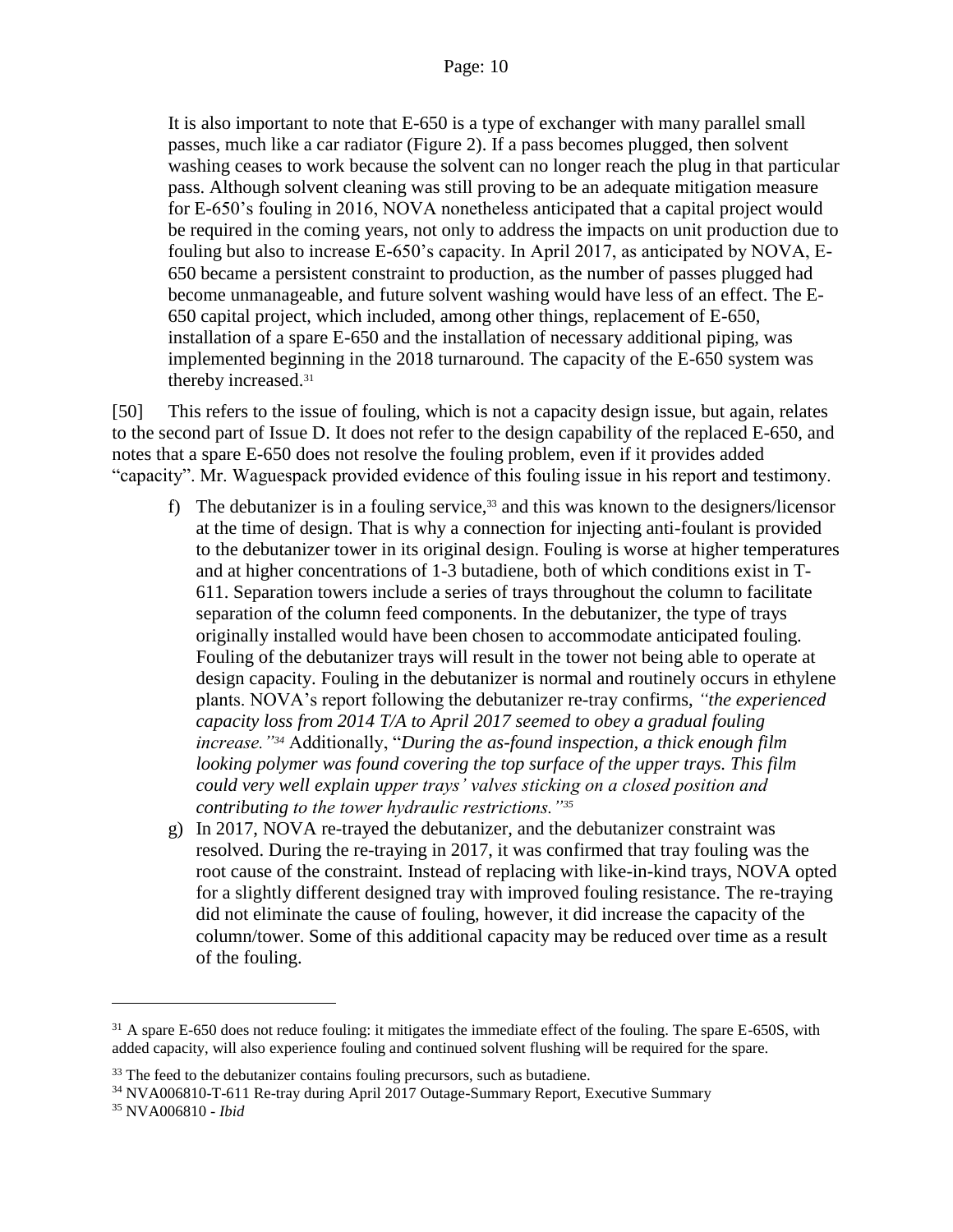It is also important to note that E-650 is a type of exchanger with many parallel small passes, much like a car radiator (Figure 2). If a pass becomes plugged, then solvent washing ceases to work because the solvent can no longer reach the plug in that particular pass. Although solvent cleaning was still proving to be an adequate mitigation measure for E-650's fouling in 2016, NOVA nonetheless anticipated that a capital project would be required in the coming years, not only to address the impacts on unit production due to fouling but also to increase E-650's capacity. In April 2017, as anticipated by NOVA, E-650 became a persistent constraint to production, as the number of passes plugged had become unmanageable, and future solvent washing would have less of an effect. The E-650 capital project, which included, among other things, replacement of E-650, installation of a spare E-650 and the installation of necessary additional piping, was implemented beginning in the 2018 turnaround. The capacity of the E-650 system was thereby increased.<sup>31</sup>

[50] This refers to the issue of fouling, which is not a capacity design issue, but again, relates to the second part of Issue D. It does not refer to the design capability of the replaced E-650, and notes that a spare E-650 does not resolve the fouling problem, even if it provides added "capacity". Mr. Waguespack provided evidence of this fouling issue in his report and testimony.

- f) The debutanizer is in a fouling service,  $33$  and this was known to the designers/licensor at the time of design. That is why a connection for injecting anti-foulant is provided to the debutanizer tower in its original design. Fouling is worse at higher temperatures and at higher concentrations of 1-3 butadiene, both of which conditions exist in T-611. Separation towers include a series of trays throughout the column to facilitate separation of the column feed components. In the debutanizer, the type of trays originally installed would have been chosen to accommodate anticipated fouling. Fouling of the debutanizer trays will result in the tower not being able to operate at design capacity. Fouling in the debutanizer is normal and routinely occurs in ethylene plants. NOVA's report following the debutanizer re-tray confirms, *"the experienced capacity loss from 2014 T/A to April 2017 seemed to obey a gradual fouling increase."<sup>34</sup>* Additionally, "*During the as-found inspection, a thick enough film looking polymer was found covering the top surface of the upper trays. This film could very well explain upper trays' valves sticking on a closed position and contributing to the tower hydraulic restrictions."<sup>35</sup>*
- g) In 2017, NOVA re-trayed the debutanizer, and the debutanizer constraint was resolved. During the re-traying in 2017, it was confirmed that tray fouling was the root cause of the constraint. Instead of replacing with like-in-kind trays, NOVA opted for a slightly different designed tray with improved fouling resistance. The re-traying did not eliminate the cause of fouling, however, it did increase the capacity of the column/tower. Some of this additional capacity may be reduced over time as a result of the fouling.

 $\overline{a}$ 

<sup>&</sup>lt;sup>31</sup> A spare E-650 does not reduce fouling: it mitigates the immediate effect of the fouling. The spare E-650S, with added capacity, will also experience fouling and continued solvent flushing will be required for the spare.

<sup>&</sup>lt;sup>33</sup> The feed to the debutanizer contains fouling precursors, such as butadiene.

<sup>34</sup> NVA006810-T-611 Re-tray during April 2017 Outage-Summary Report, Executive Summary

<sup>35</sup> NVA006810 - *Ibid*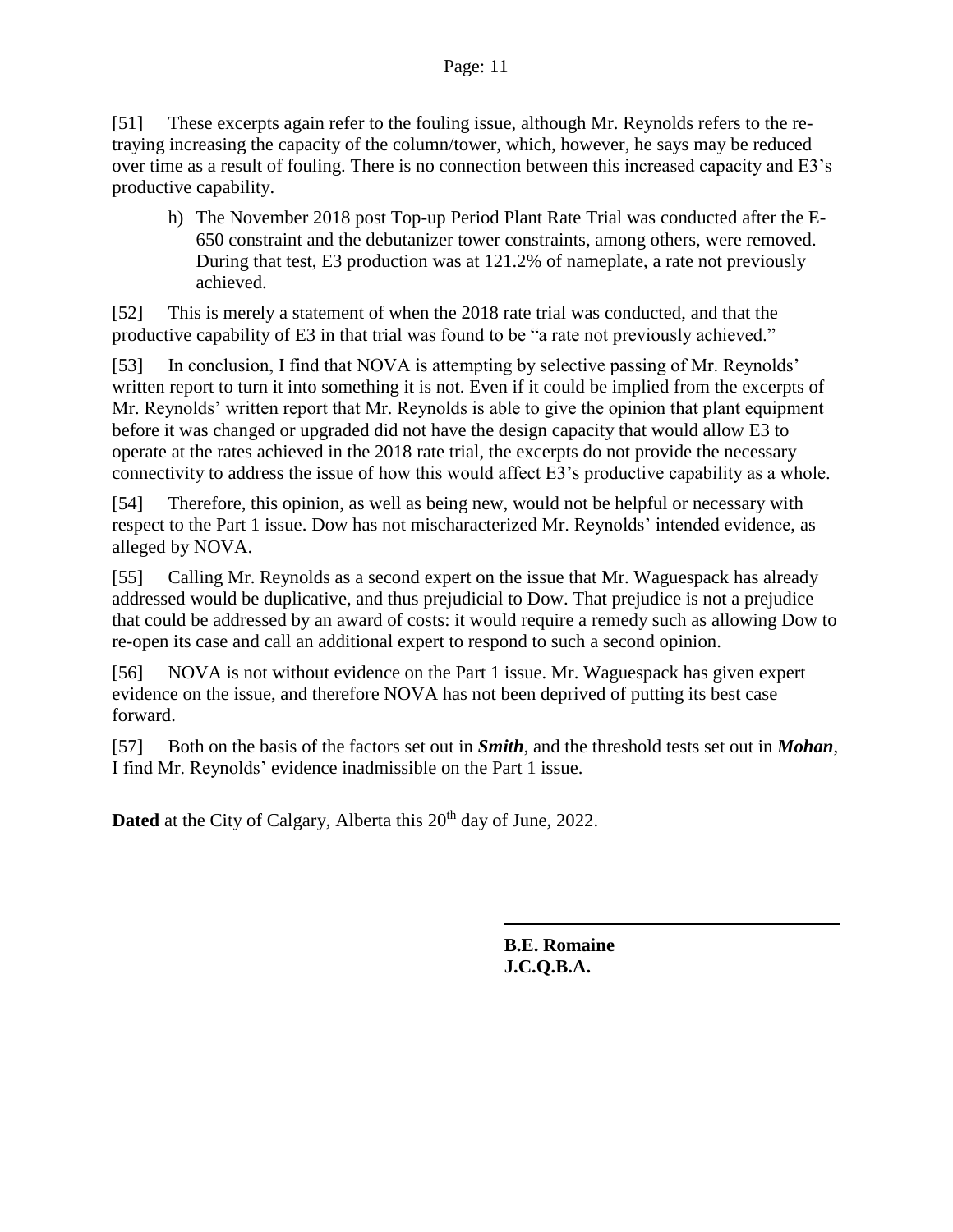#### Page: 11

[51] These excerpts again refer to the fouling issue, although Mr. Reynolds refers to the retraying increasing the capacity of the column/tower, which, however, he says may be reduced over time as a result of fouling. There is no connection between this increased capacity and E3's productive capability.

h) The November 2018 post Top-up Period Plant Rate Trial was conducted after the E-650 constraint and the debutanizer tower constraints, among others, were removed. During that test, E3 production was at 121.2% of nameplate, a rate not previously achieved.

[52] This is merely a statement of when the 2018 rate trial was conducted, and that the productive capability of E3 in that trial was found to be "a rate not previously achieved."

[53] In conclusion, I find that NOVA is attempting by selective passing of Mr. Reynolds' written report to turn it into something it is not. Even if it could be implied from the excerpts of Mr. Reynolds' written report that Mr. Reynolds is able to give the opinion that plant equipment before it was changed or upgraded did not have the design capacity that would allow E3 to operate at the rates achieved in the 2018 rate trial, the excerpts do not provide the necessary connectivity to address the issue of how this would affect E3's productive capability as a whole.

[54] Therefore, this opinion, as well as being new, would not be helpful or necessary with respect to the Part 1 issue. Dow has not mischaracterized Mr. Reynolds' intended evidence, as alleged by NOVA.

[55] Calling Mr. Reynolds as a second expert on the issue that Mr. Waguespack has already addressed would be duplicative, and thus prejudicial to Dow. That prejudice is not a prejudice that could be addressed by an award of costs: it would require a remedy such as allowing Dow to re-open its case and call an additional expert to respond to such a second opinion.

[56] NOVA is not without evidence on the Part 1 issue. Mr. Waguespack has given expert evidence on the issue, and therefore NOVA has not been deprived of putting its best case forward.

[57] Both on the basis of the factors set out in *Smith*, and the threshold tests set out in *Mohan*, I find Mr. Reynolds' evidence inadmissible on the Part 1 issue.

**Dated** at the City of Calgary, Alberta this 20<sup>th</sup> day of June, 2022.

**B.E. Romaine J.C.Q.B.A.**